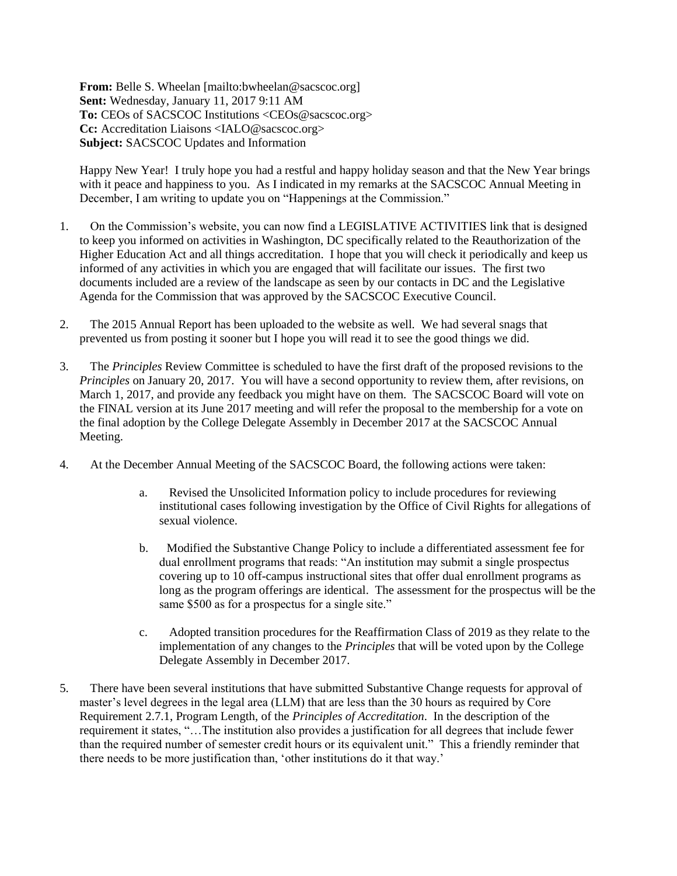**From:** Belle S. Wheelan [mailto:bwheelan@sacscoc.org] **Sent:** Wednesday, January 11, 2017 9:11 AM **To:** CEOs of SACSCOC Institutions <CEOs@sacscoc.org> **Cc:** Accreditation Liaisons <IALO@sacscoc.org> **Subject:** SACSCOC Updates and Information

Happy New Year! I truly hope you had a restful and happy holiday season and that the New Year brings with it peace and happiness to you. As I indicated in my remarks at the SACSCOC Annual Meeting in December, I am writing to update you on "Happenings at the Commission."

- 1. On the Commission's website, you can now find a LEGISLATIVE ACTIVITIES link that is designed to keep you informed on activities in Washington, DC specifically related to the Reauthorization of the Higher Education Act and all things accreditation. I hope that you will check it periodically and keep us informed of any activities in which you are engaged that will facilitate our issues. The first two documents included are a review of the landscape as seen by our contacts in DC and the Legislative Agenda for the Commission that was approved by the SACSCOC Executive Council.
- 2. The 2015 Annual Report has been uploaded to the website as well. We had several snags that prevented us from posting it sooner but I hope you will read it to see the good things we did.
- 3. The *Principles* Review Committee is scheduled to have the first draft of the proposed revisions to the *Principles* on January 20, 2017. You will have a second opportunity to review them, after revisions, on March 1, 2017, and provide any feedback you might have on them. The SACSCOC Board will vote on the FINAL version at its June 2017 meeting and will refer the proposal to the membership for a vote on the final adoption by the College Delegate Assembly in December 2017 at the SACSCOC Annual Meeting.
- 4. At the December Annual Meeting of the SACSCOC Board, the following actions were taken:
	- a. Revised the Unsolicited Information policy to include procedures for reviewing institutional cases following investigation by the Office of Civil Rights for allegations of sexual violence.
	- b. Modified the Substantive Change Policy to include a differentiated assessment fee for dual enrollment programs that reads: "An institution may submit a single prospectus covering up to 10 off-campus instructional sites that offer dual enrollment programs as long as the program offerings are identical. The assessment for the prospectus will be the same \$500 as for a prospectus for a single site."
	- c. Adopted transition procedures for the Reaffirmation Class of 2019 as they relate to the implementation of any changes to the *Principles* that will be voted upon by the College Delegate Assembly in December 2017.
- 5. There have been several institutions that have submitted Substantive Change requests for approval of master's level degrees in the legal area (LLM) that are less than the 30 hours as required by Core Requirement 2.7.1, Program Length, of the *Principles of Accreditation*. In the description of the requirement it states, "…The institution also provides a justification for all degrees that include fewer than the required number of semester credit hours or its equivalent unit." This a friendly reminder that there needs to be more justification than, 'other institutions do it that way.'